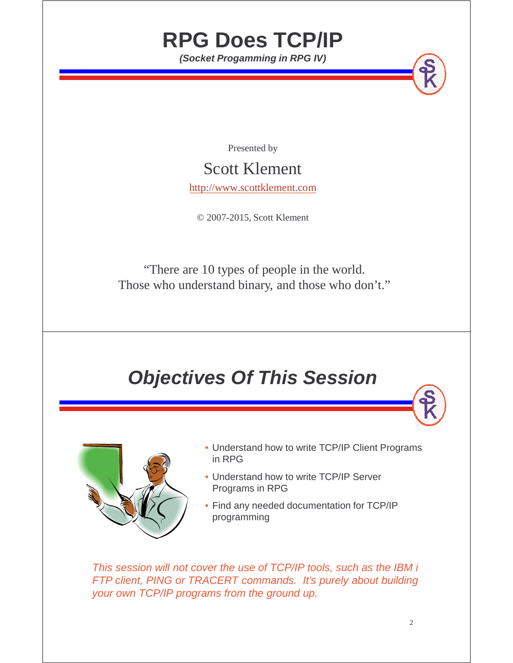## **RPG Does TCP/IP**

**(Socket Progamming in RPG IV)**

Presented by

#### Scott Klement

http://www.scottklement.com

© 2007-2015, Scott Klement

"There are 10 types of people in the world. Those who understand binary, and those who don't."

### **Objectives Of This Session**



- Understand how to write TCP/IP Client Programs in RPG
- Understand how to write TCP/IP Server Programs in RPG
- Find any needed documentation for TCP/IP programming

This session will not cover the use of TCP/IP tools, such as the IBM i FTP client, PING or TRACERT commands. It's purely about building your own TCP/IP programs from the ground up.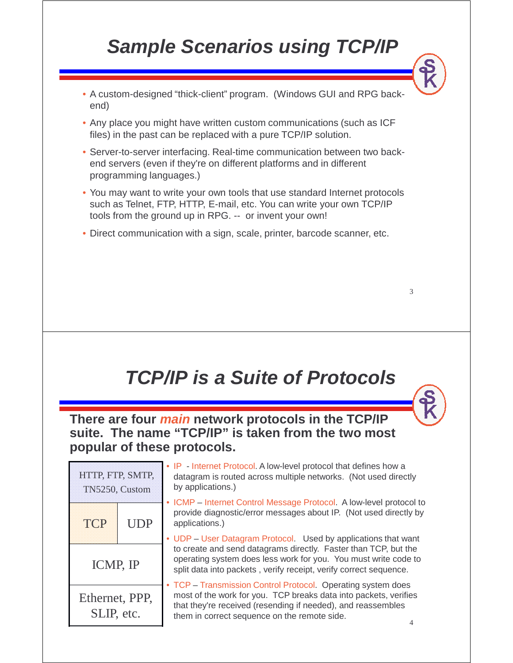## **Sample Scenarios using TCP/IP**

- A custom-designed "thick-client" program. (Windows GUI and RPG backend)
- Any place you might have written custom communications (such as ICF files) in the past can be replaced with a pure TCP/IP solution.
- Server-to-server interfacing. Real-time communication between two backend servers (even if they're on different platforms and in different programming languages.)
- You may want to write your own tools that use standard Internet protocols such as Telnet, FTP, HTTP, E-mail, etc. You can write your own TCP/IP tools from the ground up in RPG. -- or invent your own!
- Direct communication with a sign, scale, printer, barcode scanner, etc.

## **TCP/IP is a Suite of Protocols**

**There are four main network protocols in the TCP/IP suite. The name "TCP/IP" is taken from the two most popular of these protocols.**

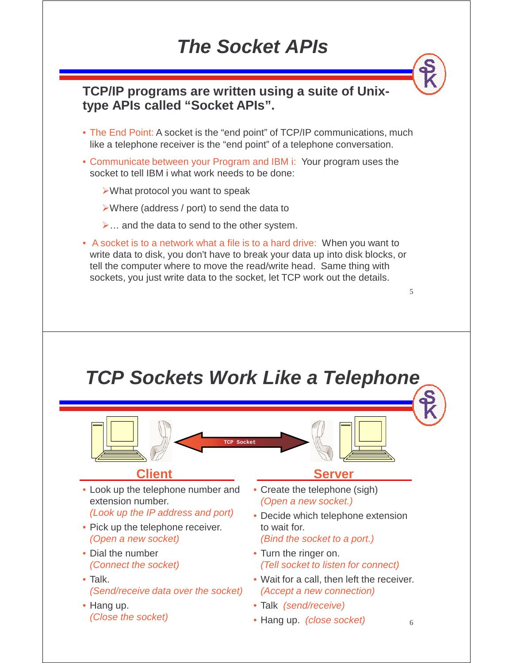#### **The Socket APIs**

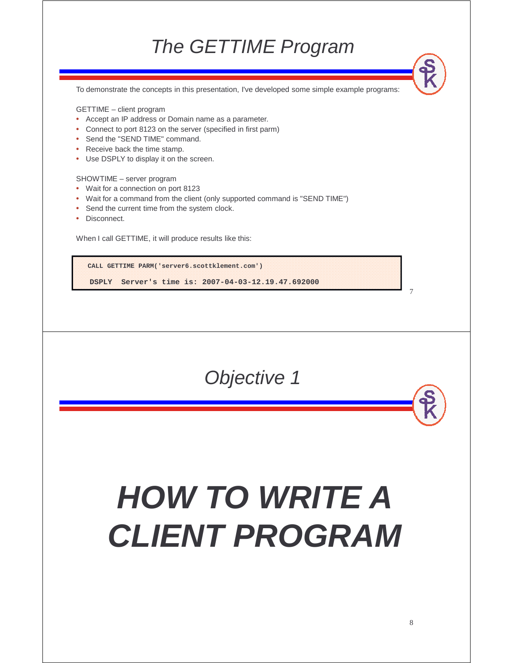#### The GETTIME Program

To demonstrate the concepts in this presentation, I've developed some simple example programs:

GETTIME – client program

- Accept an IP address or Domain name as a parameter.
- Connect to port 8123 on the server (specified in first parm)
- Send the "SEND TIME" command.
- Receive back the time stamp.
- Use DSPLY to display it on the screen.

SHOWTIME – server program

- Wait for a connection on port 8123
- Wait for a command from the client (only supported command is "SEND TIME")
- Send the current time from the system clock.
- Disconnect.

When I call GETTIME, it will produce results like this:

**CALL GETTIME PARM('server6.scottklement.com') DSPLY Server's time is: 2007-04-03-12.19.47.692000**

Objective 1

# **HOW TO WRITE A CLIENT PROGRAM**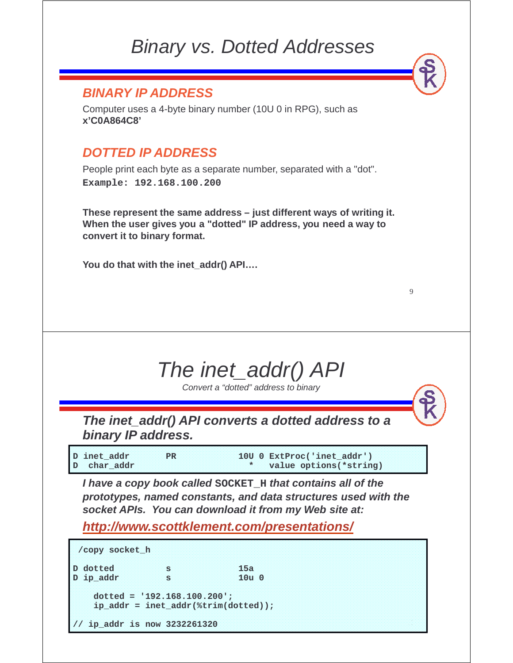#### Binary vs. Dotted Addresses

#### **BINARY IP ADDRESS**

Computer uses a 4-byte binary number (10U 0 in RPG), such as **x'C0A864C8'**

#### **DOTTED IP ADDRESS**

People print each byte as a separate number, separated with a "dot". **Example: 192.168.100.200**

**These represent the same address – just different ways of writing it. When the user gives you a "dotted" IP address, you need a way to convert it to binary format.**

**You do that with the inet\_addr() API….**

## The inet\_addr() API

9

Convert a "dotted" address to binary

**The inet\_addr() API converts a dotted address to a binary IP address.**

| D inet addr. | PR | 10U 0 ExtProc('inet_addr') |  |
|--------------|----|----------------------------|--|
| D char addr  |    | * value options (*string)  |  |

**I have a copy book called SOCKET\_H that contains all of the prototypes, named constants, and data structures used with the socket APIs. You can download it from my Web site at:**

**http://www.scottklement.com/presentations/**

| /copy socket h               |          |                                                 |  |
|------------------------------|----------|-------------------------------------------------|--|
| D dotted<br>D ip addr        | 18<br>18 | 15a<br>$10u$ $0$                                |  |
| $doted = '192.168.100.200';$ |          | $ip\_addr = incl\_addr(\text{string}(dotted));$ |  |
| ip_addr is now 3232261320    |          |                                                 |  |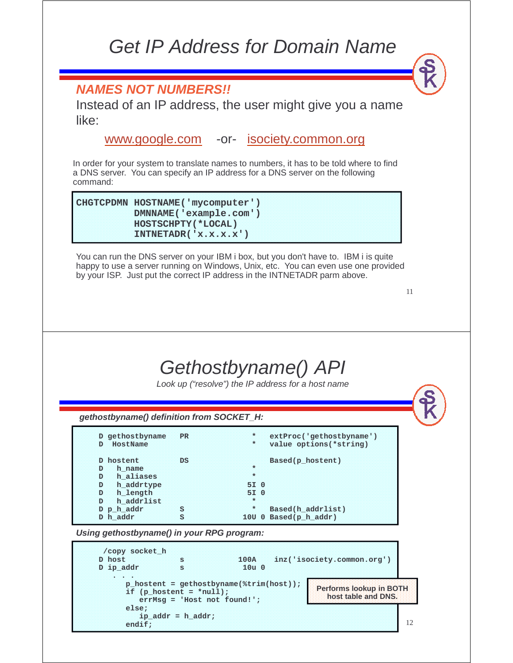#### Get IP Address for Domain Name

#### **NAMES NOT NUMBERS!!**

Instead of an IP address, the user might give you a name like:

www.google.com -or- isociety.common.org

In order for your system to translate names to numbers, it has to be told where to find a DNS server. You can specify an IP address for a DNS server on the following command:

**CHGTCPDMN HOSTNAME('mycomputer') DMNNAME('example.com') HOSTSCHPTY(\*LOCAL) INTNETADR('x.x.x.x')**

You can run the DNS server on your IBM i box, but you don't have to. IBM i is quite happy to use a server running on Windows, Unix, etc. You can even use one provided by your ISP. Just put the correct IP address in the INTNETADR parm above.

11

#### Gethostbyname() API

Look up ("resolve") the IP address for a host name

**/copy socket\_h D host s 100A inz('isociety.common.org') D ip\_addr s 10u 0 . . . D gethostbyname PR \* extProc('gethostbyname')**   $value$  options(\*string) D hostent DS Based(p\_hostent)<br>
D h name **a** h\_name **D h\_aliases \* D h\_addrtype 5I 0 D h\_length 5I 0 D h\_addrlist \***  S \* Based(h\_addrlist) D h\_addr S 10U 0 Based(p\_h\_addr) **gethostbyname() definition from SOCKET\_H: Using gethostbyname() in your RPG program:**

**p\_hostent = gethostbyname(%trim(host)); if (p\_hostent = \*null); errMsg = 'Host not found!'; else; ip\_addr = h\_addr; endif; Performs lookup in BOTH host table and DNS.**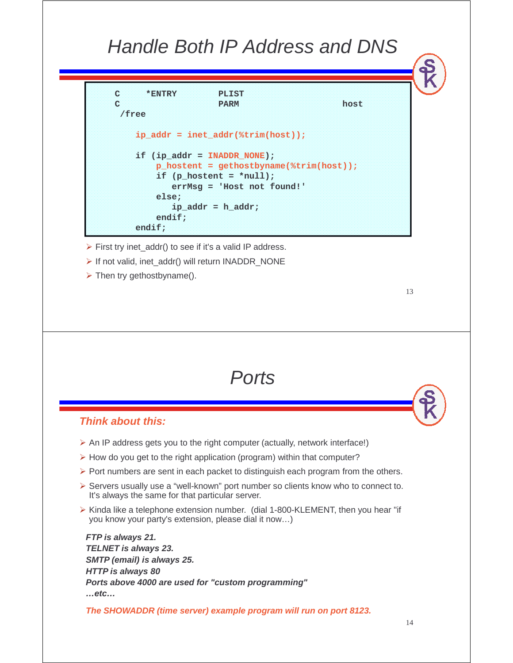#### Handle Both IP Address and DNS

| c | <b>EXECUTIVE DAM</b> | <b>PINISTI</b>                                |      |
|---|----------------------|-----------------------------------------------|------|
| c |                      | <b>PARM</b>                                   | host |
|   | / free               |                                               |      |
|   |                      | ip addr = inet addr( $strim(host)$ );         |      |
|   |                      | if (ip addr = INADDR NONE);                   |      |
|   |                      | $p$ hostent = qethostbyname( $%$ trim(host)); |      |
|   |                      | if (p hostent = $\star$ null);                |      |
|   |                      | $errMsq = 'Host not found!'$                  |      |
|   | else;                |                                               |      |
|   |                      | $ip:addr == h:addr;$                          |      |
|   | endif:               |                                               |      |
|   | endiff;              |                                               |      |
|   |                      |                                               |      |

- $\triangleright$  First try inet\_addr() to see if it's a valid IP address.
- > If not valid, inet\_addr() will return INADDR\_NONE
- $\triangleright$  Then try gethostbyname().

13

#### **Ports**

#### **Think about this:**

- $\triangleright$  An IP address gets you to the right computer (actually, network interface!)
- $\triangleright$  How do you get to the right application (program) within that computer?
- $\triangleright$  Port numbers are sent in each packet to distinguish each program from the others.
- $\triangleright$  Servers usually use a "well-known" port number so clients know who to connect to. It's always the same for that particular server.
- $\triangleright$  Kinda like a telephone extension number. (dial 1-800-KLEMENT, then you hear "if you know your party's extension, please dial it now…)

**FTP is always 21. TELNET is always 23. SMTP (email) is always 25. HTTP is always 80 Ports above 4000 are used for "custom programming" …etc…**

**The SHOWADDR (time server) example program will run on port 8123.**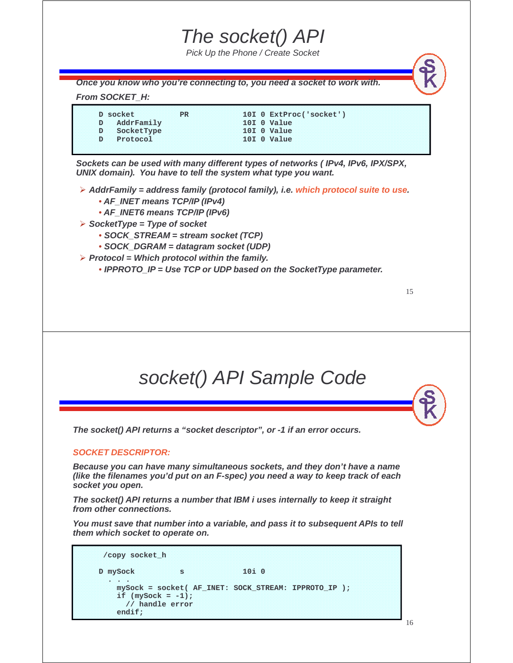#### The socket() API

Pick Up the Phone / Create Socket

**Once you know who you're connecting to, you need a socket to work with.** 

#### **From SOCKET\_H:**

| D AddrFamily<br><b>101.0 Value</b><br><b>101.0 Value</b><br>D SocketType | D socket<br>PR | 10I 0 ExtProc('socket') |
|--------------------------------------------------------------------------|----------------|-------------------------|
|                                                                          |                |                         |
|                                                                          |                |                         |
| <b>10I O Value</b><br>D Protocol                                         |                |                         |

**Sockets can be used with many different types of networks ( IPv4, IPv6, IPX/SPX, UNIX domain). You have to tell the system what type you want.**

- **AddrFamily = address family (protocol family), i.e. which protocol suite to use.**
	- **AF\_INET means TCP/IP (IPv4)**
	- **AF\_INET6 means TCP/IP (IPv6)**
- **SocketType = Type of socket**
	- **SOCK\_STREAM = stream socket (TCP)**
	- **SOCK\_DGRAM = datagram socket (UDP)**
- **Protocol = Which protocol within the family.** 
	- **IPPROTO** IP = Use TCP or UDP based on the SocketType parameter.

#### socket() API Sample Code

**The socket() API returns a "socket descriptor", or -1 if an error occurs.**

#### **SOCKET DESCRIPTOR:**

**Because you can have many simultaneous sockets, and they don't have a name (like the filenames you'd put on an F-spec) you need a way to keep track of each socket you open.**

**The socket() API returns a number that IBM i uses internally to keep it straight from other connections.** 

**You must save that number into a variable, and pass it to subsequent APIs to tell them which socket to operate on.**

| /copy socket h                          |            |                                                      |  |
|-----------------------------------------|------------|------------------------------------------------------|--|
| D mySock                                | <b>SSS</b> | 10100                                                |  |
| <b><i>CONTRACTOR</i></b>                |            |                                                      |  |
|                                         |            | mySock = socket( AF INET: SOCK STREAM: IPPROTO IP ); |  |
| if $(mySock = -1)$ ;<br>// handle error |            |                                                      |  |

16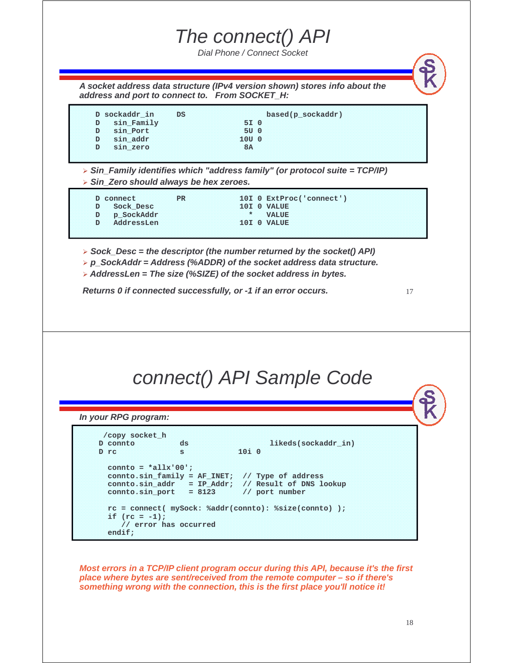#### The connect() API

Dial Phone / Connect Socket

**A socket address data structure (IPv4 version shown) stores info about the address and port to connect to. From SOCKET\_H:**

| D sockaddr in                  | <b>DS</b> |             | based(p_sockaddr) |  |
|--------------------------------|-----------|-------------|-------------------|--|
| sin Family<br>ma <b>d</b> essa |           | <b>ST</b>   |                   |  |
| sin Port                       |           | <b>30 C</b> |                   |  |
| sin addr                       |           | $-100C$     |                   |  |
| sin zero                       |           |             |                   |  |

 **Sin\_Family identifies which "address family" (or protocol suite = TCP/IP) Sin\_Zero should always be hex zeroes.**

| D Sock Desc<br><b>IOTHO VALUE</b><br>$\star$ <b>VALUE</b><br>D p SockAddr | <b>PR</b><br>D connect | $10I$ 0 ExtProc('connect') |
|---------------------------------------------------------------------------|------------------------|----------------------------|
|                                                                           |                        |                            |
|                                                                           |                        |                            |
|                                                                           | D AddressLen           | <b>ELOTELO AVALIADE</b>    |

- $>$  Sock Desc = the descriptor (the number returned by the socket() API)
- **p\_SockAddr = Address (%ADDR) of the socket address data structure.**
- **AddressLen = The size (%SIZE) of the socket address in bytes.**

**Returns 0 if connected successfully, or -1 if an error occurs.**

```
17
```
#### connect() API Sample Code

**In your RPG program:**

| /copy socket h        |                           |      |                                                                                                                           |  |
|-----------------------|---------------------------|------|---------------------------------------------------------------------------------------------------------------------------|--|
| <b>D</b> connto       | ds                        |      | likeds(sockaddr in)                                                                                                       |  |
| D rc                  | s                         | 1010 |                                                                                                                           |  |
| connto = $*allx'00';$ | $control.sin port = 8123$ |      | connto.sin family = AF INET; $//$ Type of address<br>connto.sin addr = IP Addr; // Result of DNS lookup<br>// port number |  |
|                       |                           |      | rc = connect( mySock: %addr(connto): %size(connto) );                                                                     |  |
| $if (rc = -1)$ ;      |                           |      |                                                                                                                           |  |
|                       | // error has occurred     |      |                                                                                                                           |  |
| endif;                |                           |      |                                                                                                                           |  |

**Most errors in a TCP/IP client program occur during this API, because it's the first place where bytes are sent/received from the remote computer – so if there's something wrong with the connection, this is the first place you'll notice it!**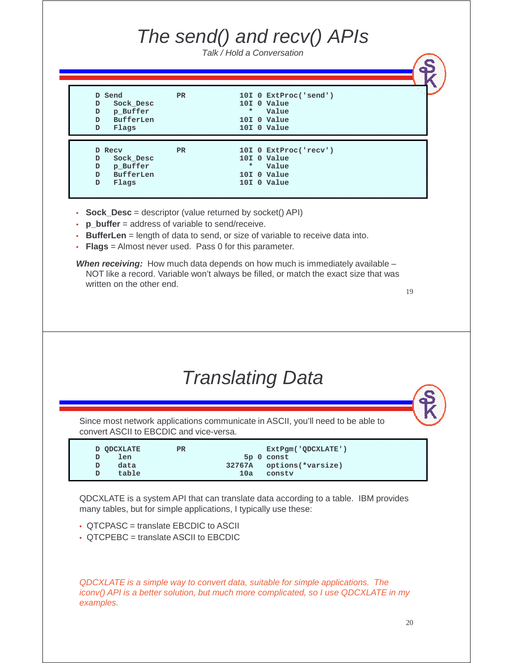## The send() and recv() APIs

Talk / Hold a Conversation

| D Send                 | <b>PR</b> |     | 101 0 ExtProc('send') |  |
|------------------------|-----------|-----|-----------------------|--|
| Sock Desc<br>D.        |           |     | 10I O Value           |  |
| p Buffer<br>D.         |           | 348 | Value                 |  |
| Đ<br><b>BufferLen</b>  |           |     | 10I O Value           |  |
| D.<br>Flags            |           |     | 10I O Value           |  |
| <b>D</b> Recy          | <b>PR</b> |     | 101 0 ExtProc('recv') |  |
| Sock Desc<br>Ð         |           |     | 10I O Value           |  |
| p Buffer<br>D          |           | 32  | <b>Value</b>          |  |
| Đ.<br><b>BufferLen</b> |           |     | 10I O Value           |  |
| D.<br>Flags            |           |     | 10I O Value           |  |
|                        |           |     |                       |  |

- **Sock Desc** = descriptor (value returned by socket() API)
- **p** buffer = address of variable to send/receive.
- **BufferLen** = length of data to send, or size of variable to receive data into.
- **Flags** = Almost never used. Pass 0 for this parameter.

**When receiving:** How much data depends on how much is immediately available – NOT like a record. Variable won't always be filled, or match the exact size that was written on the other end.

19

#### Translating Data

Since most network applications communicate in ASCII, you'll need to be able to convert ASCII to EBCDIC and vice-versa.

| <b>D QDCXLATE</b>                               | ExtPgm('QDCXLATE'        |  |
|-------------------------------------------------|--------------------------|--|
| $\circ$ D $\circ$ $\circ$ $\bullet$ Len $\circ$ | 5p 0 const               |  |
| <b>MD GALA</b>                                  | 32767A options(*varsize) |  |
| D table                                         | 10a constv               |  |

QDCXLATE is a system API that can translate data according to a table. IBM provides many tables, but for simple applications, I typically use these:

- QTCPASC = translate EBCDIC to ASCII
- QTCPEBC = translate ASCII to EBCDIC

QDCXLATE is a simple way to convert data, suitable for simple applications. The iconv() API is a better solution, but much more complicated, so I use QDCXLATE in my examples.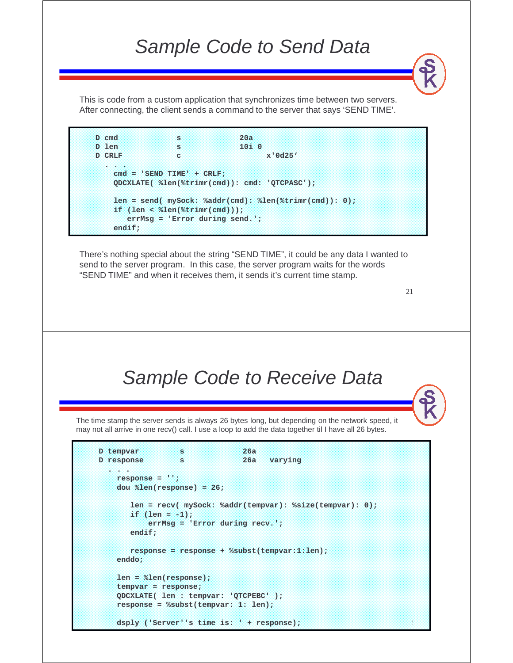#### Sample Code to Send Data

This is code from a custom application that synchronizes time between two servers. After connecting, the client sends a command to the server that says 'SEND TIME'.

**D cmd s 20a D len s 10i 0 D CRLF c x'0d25' . . . cmd = 'SEND TIME' + CRLF; QDCXLATE( %len(%trimr(cmd)): cmd: 'QTCPASC'); len = send( mySock: %addr(cmd): %len(%trimr(cmd)): 0); if (len < %len(%trimr(cmd))); errMsg = 'Error during send.'; endif;**

There's nothing special about the string "SEND TIME", it could be any data I wanted to send to the server program. In this case, the server program waits for the words "SEND TIME" and when it receives them, it sends it's current time stamp.

21

#### Sample Code to Receive Data

The time stamp the server sends is always 26 bytes long, but depending on the network speed, it may not all arrive in one recv() call. I use a loop to add the data together til I have all 26 bytes.

```
D tempvar s 26a
D response s 26a varying
  . . .
   response = '';
   dou %len(response) = 26;
      len = recv( mySock: %addr(tempvar): %size(tempvar): 0);
      if (len = -1);
          errMsg = 'Error during recv.';
      endif;
      response = response + %subst(tempvar:1:len);
   enddo;
   len = %len(response);
   tempvar = response;
   QDCXLATE( len : tempvar: 'QTCPEBC' );
   response = %subst(tempvar: 1: len);
```
**dsply ('Server''s time is: ' + response);**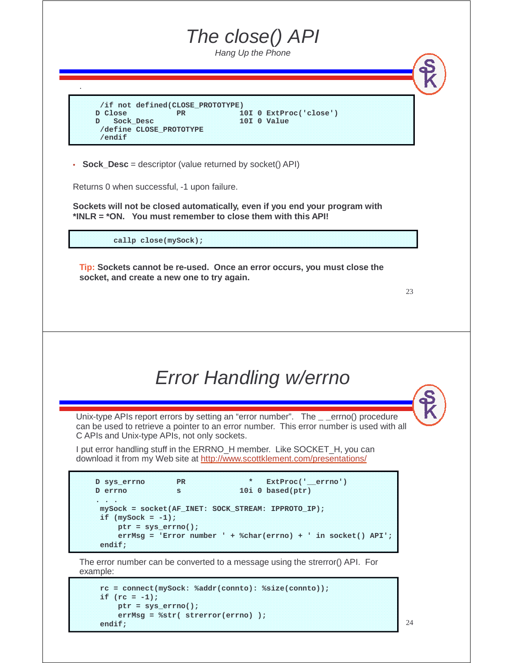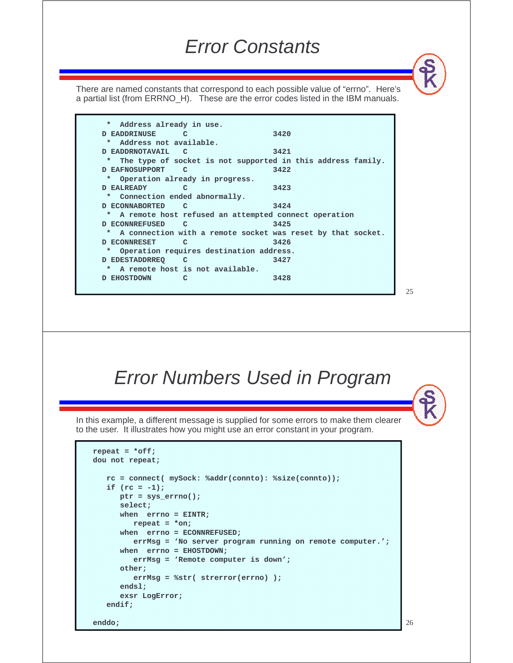#### Error Constants

There are named constants that correspond to each possible value of "errno". Here's a partial list (from ERRNO\_H). These are the error codes listed in the IBM manuals.

**\* Address already in use. D EADDRINUSE C 3420 \* Address not available. D EADDRNOTAVAIL C 3421 \* The type of socket is not supported in this address family. D EAFNOSUPPORT C 3422 \* Operation already in progress. D EALREADY C 3423 \* Connection ended abnormally. D ECONNABORTED C 3424 \* A remote host refused an attempted connect operation D ECONNREFUSED C 3425 \* A connection with a remote socket was reset by that socket. D ECONNRESET C 3426 \* Operation requires destination address. D EDESTADDRREQ C 3427 \* A remote host is not available. D EHOSTDOWN C 3428**

Error Numbers Used in Program

In this example, a different message is supplied for some errors to make them clearer to the user. It illustrates how you might use an error constant in your program.

```
repeat = *off;
dou not repeat;
  rc = connect( mySock: %addr(connto): %size(connto));
  if (rc = -1);
     ptr = sys_errno();
     select;
     when errno = EINTR;
        repeat = *on;
      when errno = ECONNREFUSED;
        errMsg = 'No server program running on remote computer.';
      when errno = EHOSTDOWN;
        errMsg = 'Remote computer is down';
     other;
        errMsg = %str( strerror(errno) );
      endsl;
      exsr LogError;
  endif;
enddo;
```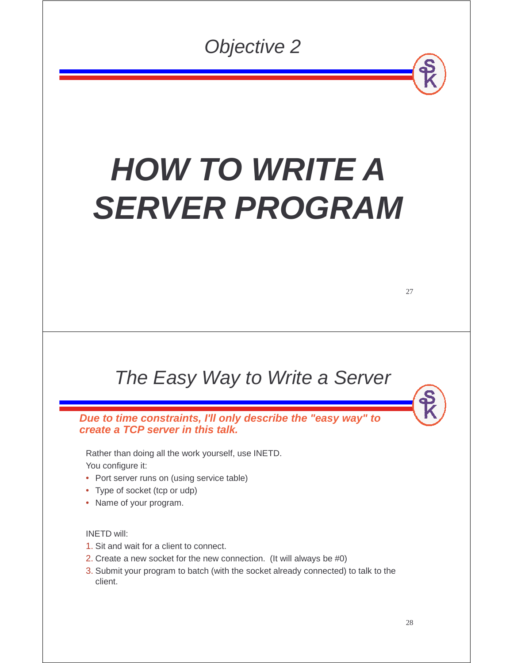Objective 2

# **HOW TO WRITE A SERVER PROGRAM**

#### The Easy Way to Write a Server

**Due to time constraints, I'll only describe the "easy way" to create a TCP server in this talk.** 

Rather than doing all the work yourself, use INETD. You configure it:

- Port server runs on (using service table)
- Type of socket (tcp or udp)
- Name of your program.

#### INETD will:

- 1. Sit and wait for a client to connect.
- 2. Create a new socket for the new connection. (It will always be #0)
- 3. Submit your program to batch (with the socket already connected) to talk to the client.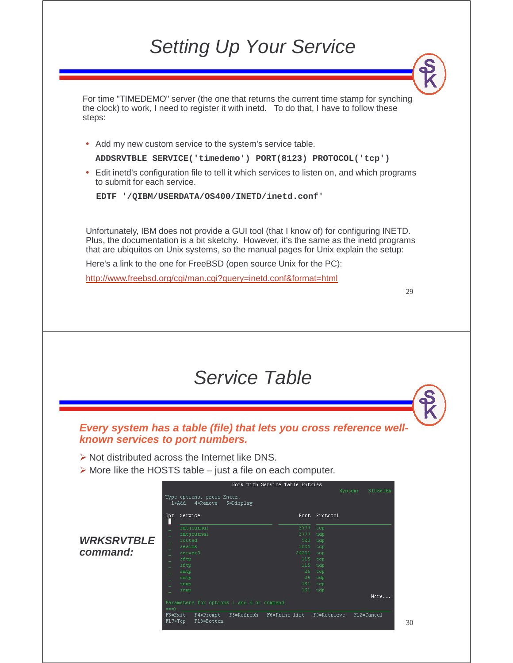## Setting Up Your Service

For time "TIMEDEMO" server (the one that returns the current time stamp for synching the clock) to work, I need to register it with inetd. To do that, I have to follow these steps:

• Add my new custom service to the system's service table.

**ADDSRVTBLE SERVICE('timedemo') PORT(8123) PROTOCOL('tcp')**

• Edit inetd's configuration file to tell it which services to listen on, and which programs to submit for each service.

**EDTF '/QIBM/USERDATA/OS400/INETD/inetd.conf'**

Unfortunately, IBM does not provide a GUI tool (that I know of) for configuring INETD. Plus, the documentation is a bit sketchy. However, it's the same as the inetd programs that are ubiquitos on Unix systems, so the manual pages for Unix explain the setup:

Here's a link to the one for FreeBSD (open source Unix for the PC):

http://www.freebsd.org/cgi/man.cgi?query=inetd.conf&format=html

29

30

#### Service Table

**Every system has a table (file) that lets you cross reference wellknown services to port numbers.**

- $\triangleright$  Not distributed across the Internet like DNS.
- $\triangleright$  More like the HOSTS table just a file on each computer.

|                   |                    |                                                                  | Work with Service Table Entries |                |                     |
|-------------------|--------------------|------------------------------------------------------------------|---------------------------------|----------------|---------------------|
|                   |                    | Type options, press Enter.<br>$1 = Add$<br>4=Remove<br>5=Display |                                 |                | System:<br>S10561BA |
|                   | Opt                | Service                                                          | Port                            | Protocol       |                     |
|                   |                    | rmtjournal                                                       | 3777                            | tcp            |                     |
|                   |                    | rmtjournal                                                       | 3777                            | udp            |                     |
| <b>WRKSRVTBLE</b> |                    | routed                                                           | 520                             | udp            |                     |
|                   | ÷                  | sealms                                                           | 1025                            | top            |                     |
| command:          | -                  | server3                                                          | 54321                           | top            |                     |
|                   |                    | sftp                                                             |                                 | 115 tcp        |                     |
|                   | -                  | sftp                                                             | 115                             | udp            |                     |
|                   |                    | smtp                                                             |                                 | 25 tcp         |                     |
|                   | -                  | smtp                                                             |                                 | $25 \quad udp$ |                     |
|                   |                    | snmp                                                             |                                 | $161$ tcp      |                     |
|                   |                    | snmp                                                             |                                 | 161 udp        |                     |
|                   |                    |                                                                  |                                 |                | More                |
|                   | $==$               | Parameters for options 1 and 4 or command                        |                                 |                |                     |
|                   | F3=Exit<br>F17=Top | F5=Refresh<br>F4=Prompt<br>F18=Bottom                            | F6=Print list                   | F9=Retrieve    | F12=Cancel          |
|                   |                    |                                                                  |                                 |                |                     |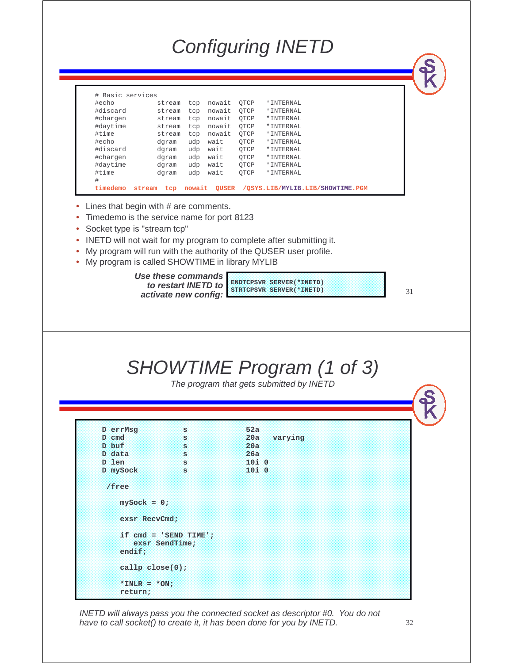## Configuring INETD

| Basic services<br>$^{\#}$ |        |        |        |              |      |                                  |
|---------------------------|--------|--------|--------|--------------|------|----------------------------------|
| #echo                     |        | stream | tcp    | nowait       | OTCP | * INTERNAL                       |
| #discard                  |        | stream | tcp    | nowait       | OTCP | *INTERNAL                        |
| #chargen                  |        | stream | tcp    | nowait       | OTCP | *INTERNAL                        |
| #daytime                  |        | stream | tcp    | nowait       | OTCP | * INTERNAL                       |
| #time                     |        | stream | tcp    | nowait       | OTCP | * INTERNAL                       |
| #echo                     |        | dqram  | udp    | wait         | OTCP | * INTERNAL                       |
| #discard                  |        | dqram  | udp    | wait         | OTCP | * INTERNAL                       |
| #chargen                  |        | dqram  | udp    | wait         | OTCP | * INTERNAL                       |
| #daytime                  |        | dqram  | udp    | wait         | OTCP | * INTERNAL                       |
| #time                     |        | dqram  | udp    | wait         | OTCP | * INTERNAL                       |
| #                         |        |        |        |              |      |                                  |
| timedemo                  | stream | tcp    | nowait | <b>OUSER</b> |      | /OSYS.LIB/MYLIB.LIB/SHOWTIME.PGM |

- Lines that begin with # are comments.
- Timedemo is the service name for port 8123
- Socket type is "stream tcp"
- INETD will not wait for my program to complete after submitting it.
- My program will run with the authority of the QUSER user profile.
- My program is called SHOWTIME in library MYLIB

**Use these commands to restart INETD to activate new config:**

**ENDTCPSVR SERVER(\*INETD) STRTCPSVR SERVER(\*INETD)**

31

## SHOWTIME Program (1 of 3)

The program that gets submitted by INETD

| D errMsg          | 's                      | 52a            |
|-------------------|-------------------------|----------------|
| D cmd             | s                       | 20a<br>varying |
| D buf             |                         | 20a            |
|                   | s                       |                |
| D data            | s                       | 26a            |
| D len             | 's                      | $10i$ 0        |
| D mySock          | s                       | $10i$ 0        |
|                   |                         |                |
| /free             |                         |                |
|                   |                         |                |
| $mySock = 0;$     |                         |                |
|                   |                         |                |
| exsr RecvCmd;     |                         |                |
|                   |                         |                |
|                   | if $cmd = 'SEND TIME';$ |                |
|                   | exsr SendTime;          |                |
| endif;            |                         |                |
|                   |                         |                |
|                   |                         |                |
| $cal1p$ close(0); |                         |                |
|                   |                         |                |
| $*INK = *ON;$     |                         |                |
| return;           |                         |                |

INETD will always pass you the connected socket as descriptor #0. You do not have to call socket() to create it, it has been done for you by INETD.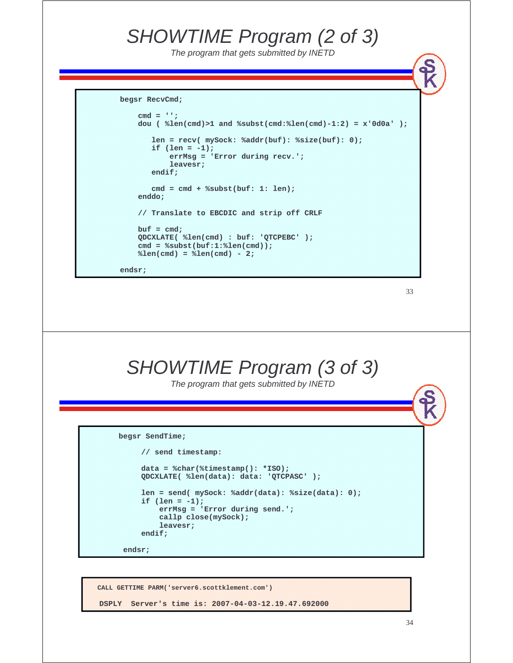#### SHOWTIME Program (2 of 3)

The program that gets submitted by INETD

```
begsr RecvCmd;
```

```
cmd = '';
dou ( %len(cmd)>1 and %subst(cmd:%len(cmd)-1:2) = x'0d0a' );
   len = recv( mySock: %addr(buf): %size(buf): 0);
   if (len = -1);
       errMsg = 'Error during recv.';
       leavesr;
   endif;
   cmd = cmd + %subst(buf: 1: len);
enddo;
// Translate to EBCDIC and strip off CRLF
but = cmd;QDCXLATE( %len(cmd) : buf: 'QTCPEBC' );
cmd = %subst(buf:1:%len(cmd));
%len(cmd) = %len(cmd) - 2;
```
**endsr;**



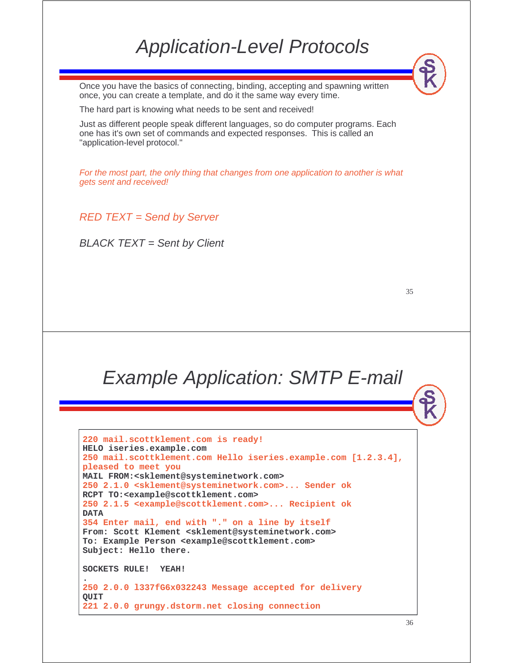#### Application-Level Protocols

Once you have the basics of connecting, binding, accepting and spawning written once, you can create a template, and do it the same way every time.

The hard part is knowing what needs to be sent and received!

Just as different people speak different languages, so do computer programs. Each one has it's own set of commands and expected responses. This is called an "application-level protocol."

For the most part, the only thing that changes from one application to another is what gets sent and received!

RED TEXT = Send by Server

 $BLACK$  TEXT = Sent by Client

#### Example Application: SMTP E-mail

**220 mail.scottklement.com is ready! HELO iseries.example.com 250 mail.scottklement.com Hello iseries.example.com [1.2.3.4], pleased to meet you MAIL FROM:<sklement@systeminetwork.com> 250 2.1.0 <sklement@systeminetwork.com>... Sender ok RCPT TO:<example@scottklement.com> 250 2.1.5 <example@scottklement.com>... Recipient ok DATA 354 Enter mail, end with "." on a line by itself From: Scott Klement <sklement@systeminetwork.com> To: Example Person <example@scottklement.com> Subject: Hello there. SOCKETS RULE! YEAH! . 250 2.0.0 l337fG6x032243 Message accepted for delivery QUIT 221 2.0.0 grungy.dstorm.net closing connection**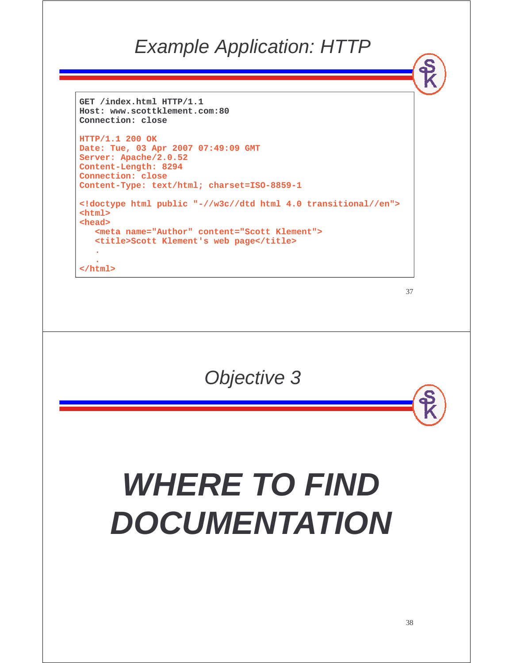#### Example Application: HTTP

```
GET /index.html HTTP/1.1
Host: www.scottklement.com:80
Connection: close
```

```
HTTP/1.1 200 OK
Date: Tue, 03 Apr 2007 07:49:09 GMT
Server: Apache/2.0.52
Content-Length: 8294
Connection: close
Content-Type: text/html; charset=ISO-8859-1
<!doctype html public "-//w3c//dtd html 4.0 transitional//en">
<html>
<head>
  <meta name="Author" content="Scott Klement">
  <title>Scott Klement's web page</title>
```
**. </html>**

**.**

Objective 3

# **WHERE TO FIND DOCUMENTATION**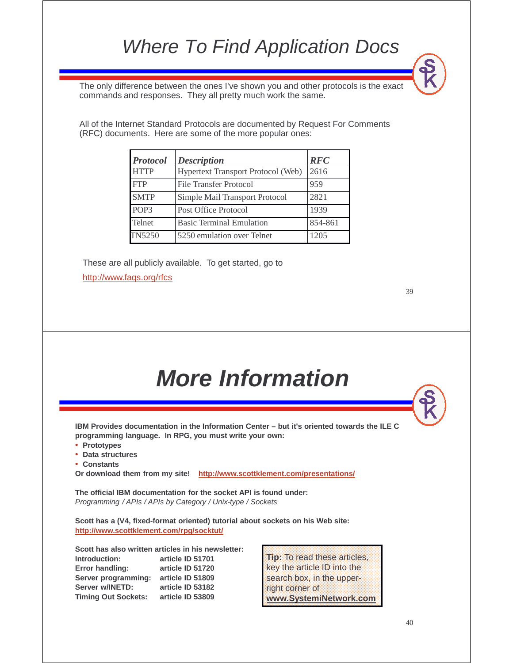## Where To Find Application Docs

The only difference between the ones I've shown you and other protocols is the exact commands and responses. They all pretty much work the same.

All of the Internet Standard Protocols are documented by Request For Comments (RFC) documents. Here are some of the more popular ones:

| <b>Protocol</b>  | <b>Description</b>                        |      |
|------------------|-------------------------------------------|------|
| <b>HTTP</b>      | <b>Hypertext Transport Protocol (Web)</b> | 2616 |
| <b>FTP</b>       | <b>File Transfer Protocol</b>             | 959  |
| <b>SMTP</b>      | Simple Mail Transport Protocol            | 2821 |
| POP <sub>3</sub> | Post Office Protocol                      | 1939 |
| <b>Telnet</b>    | <b>Basic Terminal Emulation</b>           |      |
| <b>TN5250</b>    | 5250 emulation over Telnet                | 1205 |

These are all publicly available. To get started, go to http://www.faqs.org/rfcs

39

# **More Information**

**IBM Provides documentation in the Information Center – but it's oriented towards the ILE C programming language. In RPG, you must write your own:**

- **Prototypes**
- **Data structures**
- **Constants**

**Or download them from my site! http://www.scottklement.com/presentations/**

**The official IBM documentation for the socket API is found under:** Programming / APIs / APIs by Category / Unix-type / Sockets

**Scott has a (V4, fixed-format oriented) tutorial about sockets on his Web site: http://www.scottklement.com/rpg/socktut/**

**Scott has also written articles in his newsletter: Introduction: article ID 51701 Error handling: article ID 51720 Server programming: article ID 51809 Server w/INETD: article ID 53182 Timing Out Sockets: article ID 53809**

**Tip:** To read these articles, key the article ID into the search box, in the upperright corner of **www.SystemiNetwork.com**